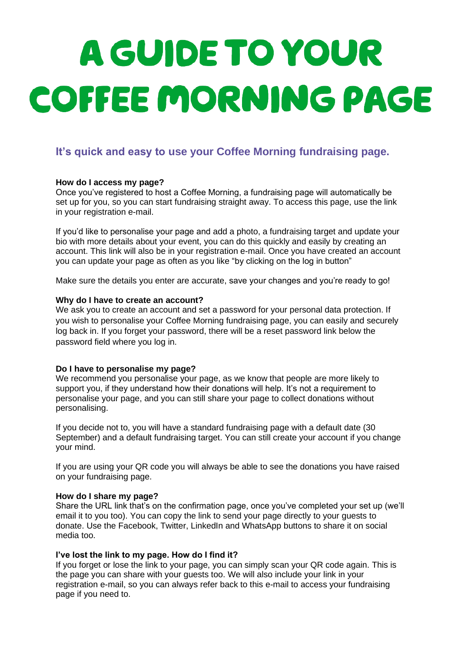# A GUIDE TO YOUR COFFEE MORNING PAGE

# **It's quick and easy to use your Coffee Morning fundraising page.**

#### **How do I access my page?**

Once you've registered to host a Coffee Morning, a fundraising page will automatically be set up for you, so you can start fundraising straight away. To access this page, use the link in your registration e-mail.

If you'd like to personalise your page and add a photo, a fundraising target and update your bio with more details about your event, you can do this quickly and easily by creating an account. This link will also be in your registration e-mail. Once you have created an account you can update your page as often as you like "by clicking on the log in button"

Make sure the details you enter are accurate, save your changes and you're ready to go!

#### **Why do I have to create an account?**

We ask you to create an account and set a password for your personal data protection. If you wish to personalise your Coffee Morning fundraising page, you can easily and securely log back in. If you forget your password, there will be a reset password link below the password field where you log in.

#### **Do I have to personalise my page?**

We recommend you personalise your page, as we know that people are more likely to support you, if they understand how their donations will help. It's not a requirement to personalise your page, and you can still share your page to collect donations without personalising.

If you decide not to, you will have a standard fundraising page with a default date (30 September) and a default fundraising target. You can still create your account if you change your mind.

If you are using your QR code you will always be able to see the donations you have raised on your fundraising page.

#### **How do I share my page?**

Share the URL link that's on the confirmation page, once you've completed your set up (we'll email it to you too). You can copy the link to send your page directly to your guests to donate. Use the Facebook, Twitter, LinkedIn and WhatsApp buttons to share it on social media too.

#### **I've lost the link to my page. How do I find it?**

If you forget or lose the link to your page, you can simply scan your QR code again. This is the page you can share with your guests too. We will also include your link in your registration e-mail, so you can always refer back to this e-mail to access your fundraising page if you need to.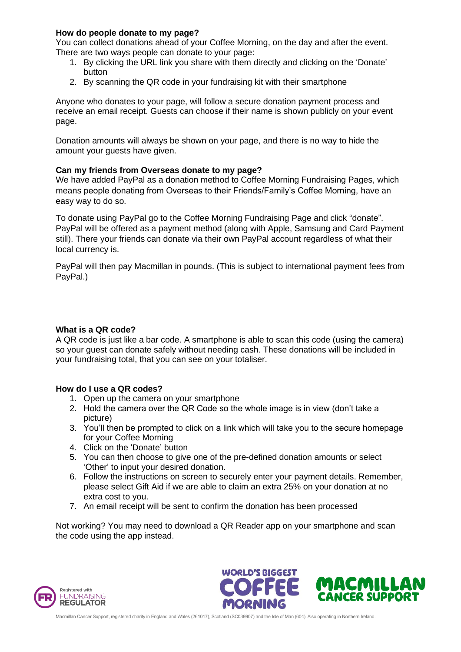#### **How do people donate to my page?**

You can collect donations ahead of your Coffee Morning, on the day and after the event. There are two ways people can donate to your page:

- 1. By clicking the URL link you share with them directly and clicking on the 'Donate' button
- 2. By scanning the QR code in your fundraising kit with their smartphone

Anyone who donates to your page, will follow a secure donation payment process and receive an email receipt. Guests can choose if their name is shown publicly on your event page.

Donation amounts will always be shown on your page, and there is no way to hide the amount your guests have given.

#### **Can my friends from Overseas donate to my page?**

We have added PayPal as a donation method to Coffee Morning Fundraising Pages, which means people donating from Overseas to their Friends/Family's Coffee Morning, have an easy way to do so.

To donate using PayPal go to the Coffee Morning Fundraising Page and click "donate". PayPal will be offered as a payment method (along with Apple, Samsung and Card Payment still). There your friends can donate via their own PayPal account regardless of what their local currency is.

PayPal will then pay Macmillan in pounds. (This is subject to international payment fees from PayPal.)

#### **What is a QR code?**

A QR code is just like a bar code. A smartphone is able to scan this code (using the camera) so your guest can donate safely without needing cash. These donations will be included in your fundraising total, that you can see on your totaliser.

#### **How do I use a QR codes?**

- 1. Open up the camera on your smartphone
- 2. Hold the camera over the QR Code so the whole image is in view (don't take a picture)
- 3. You'll then be prompted to click on a link which will take you to the secure homepage for your Coffee Morning
- 4. Click on the 'Donate' button
- 5. You can then choose to give one of the pre-defined donation amounts or select 'Other' to input your desired donation.
- 6. Follow the instructions on screen to securely enter your payment details. Remember, please select Gift Aid if we are able to claim an extra 25% on your donation at no extra cost to you.
- 7. An email receipt will be sent to confirm the donation has been processed

Not working? You may need to download a QR Reader app on your smartphone and scan the code using the app instead.





Macmillan Cancer Support, registered charity in England and Wales (261017), Scotland (SC039907) and the Isle of Man (604). Also operating in Northern Ireland.